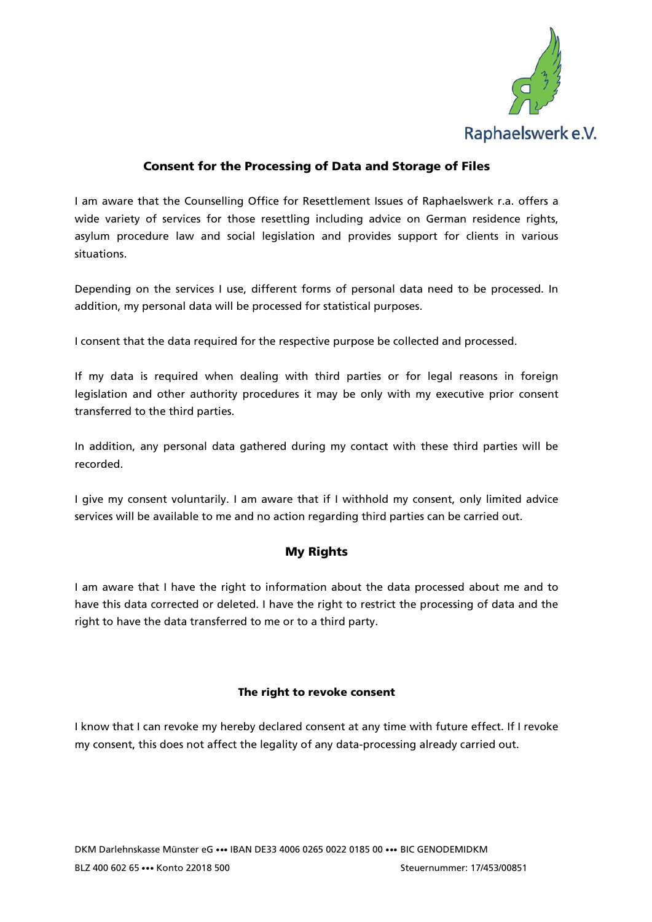

# Consent for the Processing of Data and Storage of Files

I am aware that the Counselling Office for Resettlement Issues of Raphaelswerk r.a. offers a wide variety of services for those resettling including advice on German residence rights, asylum procedure law and social legislation and provides support for clients in various situations.

Depending on the services I use, different forms of personal data need to be processed. In addition, my personal data will be processed for statistical purposes.

I consent that the data required for the respective purpose be collected and processed.

If my data is required when dealing with third parties or for legal reasons in foreign legislation and other authority procedures it may be only with my executive prior consent transferred to the third parties.

In addition, any personal data gathered during my contact with these third parties will be recorded.

I give my consent voluntarily. I am aware that if I withhold my consent, only limited advice services will be available to me and no action regarding third parties can be carried out.

## My Rights

I am aware that I have the right to information about the data processed about me and to have this data corrected or deleted. I have the right to restrict the processing of data and the right to have the data transferred to me or to a third party.

### The right to revoke consent

I know that I can revoke my hereby declared consent at any time with future effect. If I revoke my consent, this does not affect the legality of any data-processing already carried out.